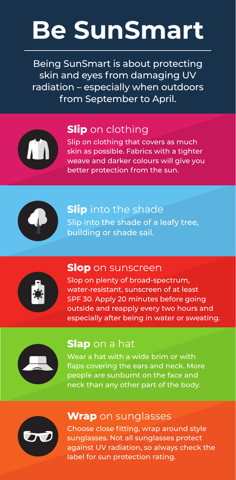# **Be SunSmart**

Being SunSmart is about protecting skin and eyes from damaging UV radiation – especially when outdoors from September to April.



### **Slip** on clothing

Slip on clothing that covers as much skin as possible. Fabrics with a tighter weave and darker colours will give you better protection from the sun.



**Slip** into the shade Slip into the shade of a leafy tree, building or shade sail.



#### **Slop** on sunscreen

Slop on plenty of broad-spectrum, water-resistant, sunscreen of at least SPF 30. Apply 20 minutes before going outside and reapply every two hours and especially after being in water or sweating.



#### **Slap** on a hat

Wear a hat with a wide brim or with flaps covering the ears and neck. More people are sunburnt on the face and neck than any other part of the body.



#### **Wrap** on sunglasses

Choose close fitting, wrap around style sunglasses. Not all sunglasses protect against UV radiation, so always check the label for sun protection rating.